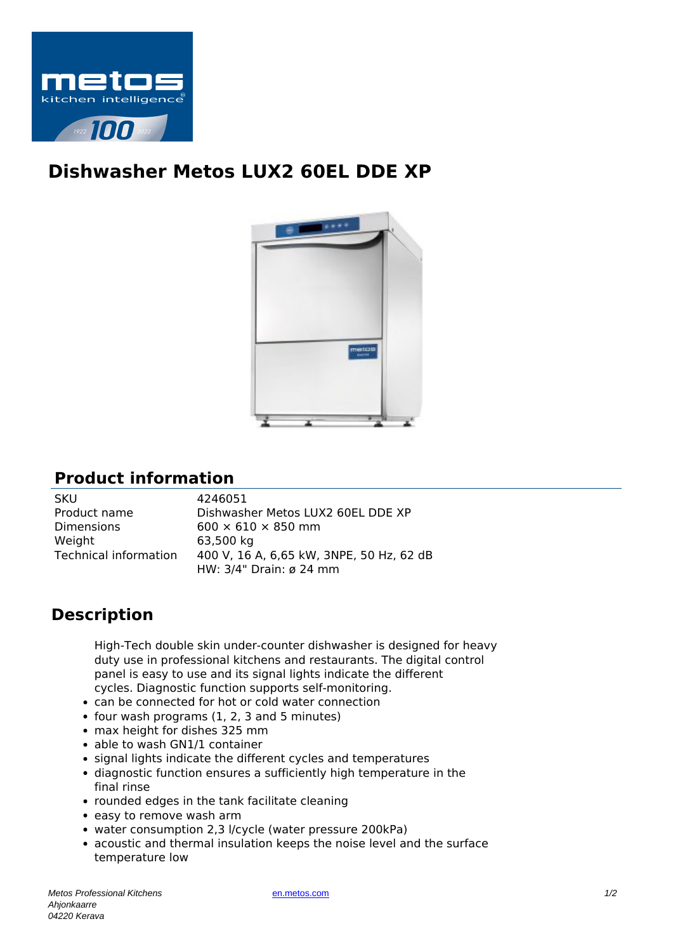

## **Dishwasher Metos LUX2 60EL DDE XP**



## **Product information**

| 4246051                                  |
|------------------------------------------|
| Dishwasher Metos LUX2 60EL DDE XP        |
| $600 \times 610 \times 850$ mm           |
| 63,500 kg                                |
| 400 V, 16 A, 6,65 kW, 3NPE, 50 Hz, 62 dB |
| HW: 3/4" Drain: ø 24 mm                  |
|                                          |

## **Description**

High-Tech double skin under-counter dishwasher is designed for heavy duty use in professional kitchens and restaurants. The digital control panel is easy to use and its signal lights indicate the different cycles. Diagnostic function supports self-monitoring.

- can be connected for hot or cold water connection
- $\bullet$  four wash programs (1, 2, 3 and 5 minutes)
- max height for dishes 325 mm
- able to wash GN1/1 container
- signal lights indicate the different cycles and temperatures
- diagnostic function ensures a sufficiently high temperature in the final rinse
- rounded edges in the tank facilitate cleaning
- easy to remove wash arm
- water consumption 2,3 l/cycle (water pressure 200kPa)
- acoustic and thermal insulation keeps the noise level and the surface temperature low